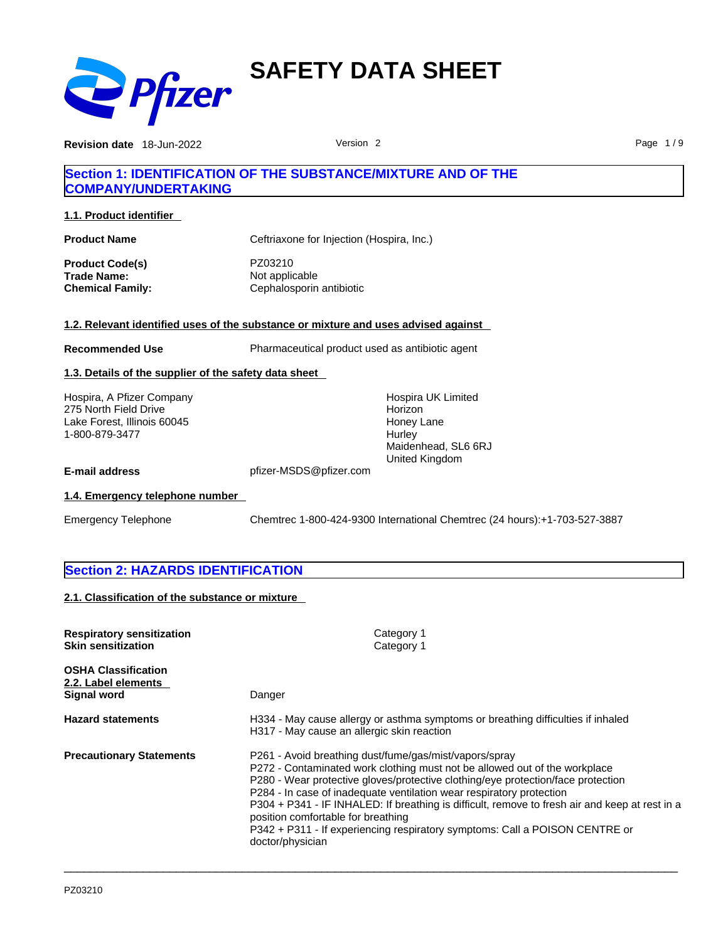

**Revision date** 18-Jun-2022 **Page 1/9** Version 2 **Page 1/9** Page 1/9

# **Section 1: IDENTIFICATION OF THE SUBSTANCE/MIXTURE AND OF THE COMPANY/UNDERTAKING**

**1.1. Product identifier** 

| <b>Product Name</b>                                | Ceftriaxone for Injection (Hospira, Inc.)             |  |
|----------------------------------------------------|-------------------------------------------------------|--|
| Product Code(s)<br>Trade Name:<br>Chemical Family: | PZ03210<br>Not applicable<br>Cephalosporin antibiotic |  |
|                                                    |                                                       |  |

# **1.2. Relevant identified uses of the substance or mixture and uses advised against**

**Recommended Use** Pharmaceutical product used as antibiotic agent

# **1.3. Details of the supplier of the safety data sheet**

Hospira, A Pfizer Company 275 North Field Drive Lake Forest, Illinois 60045 1-800-879-3477

Hospira UK Limited Horizon Honey Lane **Hurley** Maidenhead, SL6 6RJ United Kingdom

**E-mail address** pfizer-MSDS@pfizer.com

# **1.4. Emergency telephone number**

Emergency Telephone Chemtrec 1-800-424-9300 International Chemtrec (24 hours):+1-703-527-3887

# **Section 2: HAZARDS IDENTIFICATION**

**2.1. Classification of the substance or mixture**

| <b>Respiratory sensitization</b><br><b>Skin sensitization</b>    | Category 1<br>Category 1                                                                                                                                                                                                                                                                                                                                                                                                                                                                                                                    |
|------------------------------------------------------------------|---------------------------------------------------------------------------------------------------------------------------------------------------------------------------------------------------------------------------------------------------------------------------------------------------------------------------------------------------------------------------------------------------------------------------------------------------------------------------------------------------------------------------------------------|
| <b>OSHA Classification</b><br>2.2. Label elements<br>Signal word | Danger                                                                                                                                                                                                                                                                                                                                                                                                                                                                                                                                      |
| <b>Hazard statements</b>                                         | H334 - May cause allergy or asthma symptoms or breathing difficulties if inhaled<br>H317 - May cause an allergic skin reaction                                                                                                                                                                                                                                                                                                                                                                                                              |
| <b>Precautionary Statements</b>                                  | P261 - Avoid breathing dust/fume/gas/mist/vapors/spray<br>P272 - Contaminated work clothing must not be allowed out of the workplace<br>P280 - Wear protective gloves/protective clothing/eye protection/face protection<br>P284 - In case of inadequate ventilation wear respiratory protection<br>P304 + P341 - IF INHALED: If breathing is difficult, remove to fresh air and keep at rest in a<br>position comfortable for breathing<br>P342 + P311 - If experiencing respiratory symptoms: Call a POISON CENTRE or<br>doctor/physician |

 $\_$  ,  $\_$  ,  $\_$  ,  $\_$  ,  $\_$  ,  $\_$  ,  $\_$  ,  $\_$  ,  $\_$  ,  $\_$  ,  $\_$  ,  $\_$  ,  $\_$  ,  $\_$  ,  $\_$  ,  $\_$  ,  $\_$  ,  $\_$  ,  $\_$  ,  $\_$  ,  $\_$  ,  $\_$  ,  $\_$  ,  $\_$  ,  $\_$  ,  $\_$  ,  $\_$  ,  $\_$  ,  $\_$  ,  $\_$  ,  $\_$  ,  $\_$  ,  $\_$  ,  $\_$  ,  $\_$  ,  $\_$  ,  $\_$  ,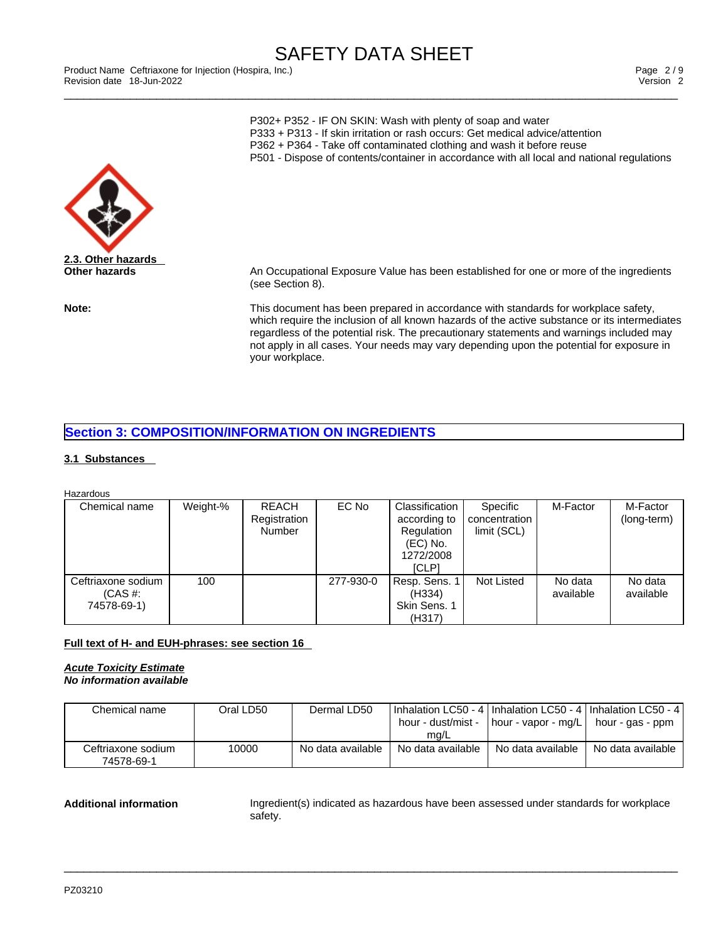\_\_\_\_\_\_\_\_\_\_\_\_\_\_\_\_\_\_\_\_\_\_\_\_\_\_\_\_\_\_\_\_\_\_\_\_\_\_\_\_\_\_\_\_\_\_\_\_\_\_\_\_\_\_\_\_\_\_\_\_\_\_\_\_\_\_\_\_\_\_\_\_\_\_\_\_\_\_\_\_\_\_\_\_\_\_\_\_\_\_\_\_\_ Product Name Ceftriaxone for Injection (Hospira, Inc.) Page 2 / 9 Revision date 18-Jun-2022 Version 2

P302+ P352 - IF ON SKIN: Wash with plenty of soap and water P333 + P313 - If skin irritation or rash occurs: Get medical advice/attention P362 + P364 - Take off contaminated clothing and wash it before reuse P501 - Dispose of contents/container in accordance with all local and national regulations



**Other hazards** An Occupational Exposure Value has been established for one or more of the ingredients (see Section 8).

**Note:** This document has been prepared in accordance with standards for workplace safety, which require the inclusion of all known hazards of the active substance or its intermediates regardless of the potential risk. The precautionary statements and warnings included may not apply in all cases. Your needs may vary depending upon the potential for exposure in your workplace.

# **Section 3: COMPOSITION/INFORMATION ON INGREDIENTS**

# **3.1 Substances**

**Hazardous** 

| Chemical name                                    | Weight-% | <b>REACH</b><br>Registration<br>Number | EC No     | Classification<br>according to<br>Regulation<br>(EC) No.<br>1272/2008<br><b>ICLP1</b> | Specific<br>concentration<br>limit (SCL) | M-Factor             | M-Factor<br>(long-term) |
|--------------------------------------------------|----------|----------------------------------------|-----------|---------------------------------------------------------------------------------------|------------------------------------------|----------------------|-------------------------|
| Ceftriaxone sodium<br>$(CAS \#$ :<br>74578-69-1) | 100      |                                        | 277-930-0 | Resp. Sens. 1<br>(H334)<br>Skin Sens. 1<br>(H317)                                     | Not Listed                               | No data<br>available | No data<br>available    |

# **Full text of H- and EUH-phrases: see section 16**

# *Acute Toxicity Estimate*

*No information available* 

| Chemical name                    | Oral LD50 | Dermal LD50       | I Inhalation LC50 - 4   Inhalation LC50 - 4   Inhalation LC50 - 4  <br>hour - dust/mist -<br>mq/L | hour - vapor - mg/L | hour - gas - ppm  |
|----------------------------------|-----------|-------------------|---------------------------------------------------------------------------------------------------|---------------------|-------------------|
| Ceftriaxone sodium<br>74578-69-1 | 10000     | No data available | No data available                                                                                 | No data available   | No data available |

 $\_$  ,  $\_$  ,  $\_$  ,  $\_$  ,  $\_$  ,  $\_$  ,  $\_$  ,  $\_$  ,  $\_$  ,  $\_$  ,  $\_$  ,  $\_$  ,  $\_$  ,  $\_$  ,  $\_$  ,  $\_$  ,  $\_$  ,  $\_$  ,  $\_$  ,  $\_$  ,  $\_$  ,  $\_$  ,  $\_$  ,  $\_$  ,  $\_$  ,  $\_$  ,  $\_$  ,  $\_$  ,  $\_$  ,  $\_$  ,  $\_$  ,  $\_$  ,  $\_$  ,  $\_$  ,  $\_$  ,  $\_$  ,  $\_$  ,

Additional information **Ingredient(s)** indicated as hazardous have been assessed under standards for workplace safety.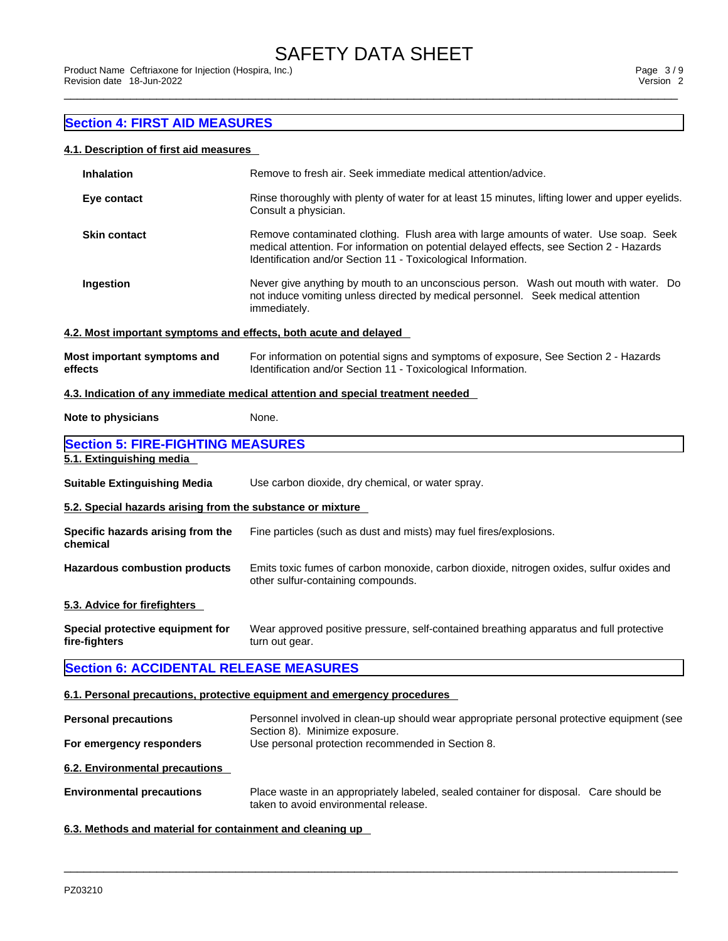# **Section 4: FIRST AID MEASURES**

# **4.1. Description of first aid measures**

| <b>Inhalation</b>                                                | Remove to fresh air. Seek immediate medical attention/advice.                                                                                                                                                                                     |
|------------------------------------------------------------------|---------------------------------------------------------------------------------------------------------------------------------------------------------------------------------------------------------------------------------------------------|
| Eye contact                                                      | Rinse thoroughly with plenty of water for at least 15 minutes, lifting lower and upper eyelids.<br>Consult a physician.                                                                                                                           |
| <b>Skin contact</b>                                              | Remove contaminated clothing. Flush area with large amounts of water. Use soap. Seek<br>medical attention. For information on potential delayed effects, see Section 2 - Hazards<br>Identification and/or Section 11 - Toxicological Information. |
| Ingestion                                                        | Never give anything by mouth to an unconscious person. Wash out mouth with water. Do<br>not induce vomiting unless directed by medical personnel. Seek medical attention<br>immediately.                                                          |
| 4.2. Most important symptoms and effects, both acute and delayed |                                                                                                                                                                                                                                                   |
| Most important symptoms and<br>effects                           | For information on potential signs and symptoms of exposure, See Section 2 - Hazards<br>Identification and/or Section 11 - Toxicological Information.                                                                                             |
|                                                                  | 4.3. Indication of any immediate medical attention and special treatment needed                                                                                                                                                                   |
| Note to physicians                                               | None.                                                                                                                                                                                                                                             |
| <b>Section 5: FIRE-FIGHTING MEASURES</b>                         |                                                                                                                                                                                                                                                   |
| 5.1. Extinguishing media                                         |                                                                                                                                                                                                                                                   |
| <b>Suitable Extinguishing Media</b>                              | Use carbon dioxide, dry chemical, or water spray.                                                                                                                                                                                                 |
| 5.2. Special hazards arising from the substance or mixture       |                                                                                                                                                                                                                                                   |
| Specific hazards arising from the<br>chemical                    | Fine particles (such as dust and mists) may fuel fires/explosions.                                                                                                                                                                                |
| <b>Hazardous combustion products</b>                             | Emits toxic fumes of carbon monoxide, carbon dioxide, nitrogen oxides, sulfur oxides and<br>other sulfur-containing compounds.                                                                                                                    |
| 5.3. Advice for firefighters                                     |                                                                                                                                                                                                                                                   |
| Special protective equipment for<br>fire-fighters                | Wear approved positive pressure, self-contained breathing apparatus and full protective<br>turn out gear.                                                                                                                                         |
| <b>Section 6: ACCIDENTAL RELEASE MEASURES</b>                    |                                                                                                                                                                                                                                                   |
|                                                                  | 6.1. Personal precautions, protective equipment and emergency procedures                                                                                                                                                                          |
| <b>Personal precautions</b>                                      | Personnel involved in clean-up should wear appropriate personal protective equipment (see                                                                                                                                                         |
| For emergency responders                                         | Section 8). Minimize exposure.<br>Use personal protection recommended in Section 8.                                                                                                                                                               |
| 6.2. Environmental precautions                                   |                                                                                                                                                                                                                                                   |
| <b>Environmental precautions</b>                                 | Place waste in an appropriately labeled, sealed container for disposal. Care should be<br>taken to avoid environmental release.                                                                                                                   |
|                                                                  |                                                                                                                                                                                                                                                   |

 $\_$  ,  $\_$  ,  $\_$  ,  $\_$  ,  $\_$  ,  $\_$  ,  $\_$  ,  $\_$  ,  $\_$  ,  $\_$  ,  $\_$  ,  $\_$  ,  $\_$  ,  $\_$  ,  $\_$  ,  $\_$  ,  $\_$  ,  $\_$  ,  $\_$  ,  $\_$  ,  $\_$  ,  $\_$  ,  $\_$  ,  $\_$  ,  $\_$  ,  $\_$  ,  $\_$  ,  $\_$  ,  $\_$  ,  $\_$  ,  $\_$  ,  $\_$  ,  $\_$  ,  $\_$  ,  $\_$  ,  $\_$  ,  $\_$  ,

# **6.3. Methods and material for containment and cleaning up**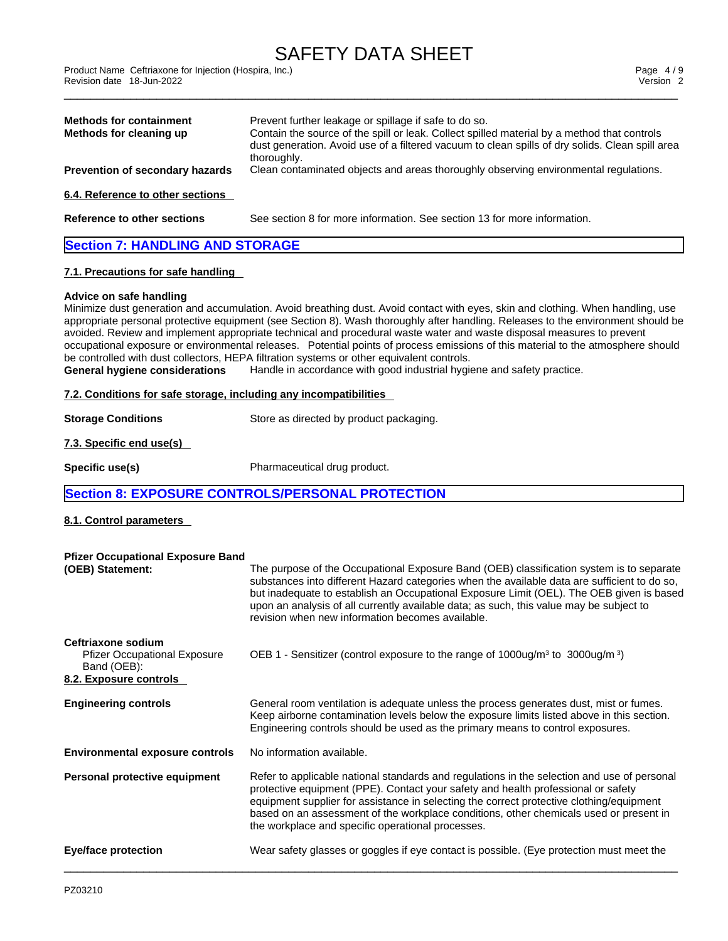\_\_\_\_\_\_\_\_\_\_\_\_\_\_\_\_\_\_\_\_\_\_\_\_\_\_\_\_\_\_\_\_\_\_\_\_\_\_\_\_\_\_\_\_\_\_\_\_\_\_\_\_\_\_\_\_\_\_\_\_\_\_\_\_\_\_\_\_\_\_\_\_\_\_\_\_\_\_\_\_\_\_\_\_\_\_\_\_\_\_\_\_\_ Product Name Ceftriaxone for Injection (Hospira, Inc.) Page 4 / 9 Revision date 18-Jun-2022 Version 2

| <b>Methods for containment</b>         | Prevent further leakage or spillage if safe to do so.                                                                                                                                          |
|----------------------------------------|------------------------------------------------------------------------------------------------------------------------------------------------------------------------------------------------|
| Methods for cleaning up                | Contain the source of the spill or leak. Collect spilled material by a method that controls<br>dust generation. Avoid use of a filtered vacuum to clean spills of dry solids. Clean spill area |
|                                        | thoroughly.                                                                                                                                                                                    |
| <b>Prevention of secondary hazards</b> | Clean contaminated objects and areas thoroughly observing environmental regulations.                                                                                                           |
| 6.4. Reference to other sections       |                                                                                                                                                                                                |
| Reference to other sections            | See section 8 for more information. See section 13 for more information.                                                                                                                       |
| <b>Section 7: HANDLING AND STORAGE</b> |                                                                                                                                                                                                |
| 7.1. Precautions for safe handling     |                                                                                                                                                                                                |
| Advice on safe handling                |                                                                                                                                                                                                |
|                                        | Minimize dust generation and accumulation. Avoid breathing dust. Avoid contact with eyes, skin and clothing. When handling, use                                                                |

appropriate personal protective equipment (see Section 8). Wash thoroughly after handling. Releases to the environment should be avoided. Review and implement appropriate technical and procedural waste water and waste disposal measures to prevent occupational exposure or environmental releases. Potential points of process emissions of this material to the atmosphere should be controlled with dust collectors, HEPA filtration systems or other equivalent controls.

**General hygiene considerations** Handle in accordance with good industrial hygiene and safety practice.

### **7.2. Conditions for safe storage, including any incompatibilities**

**Storage Conditions** Store as directed by product packaging.

**Specific use(s)** Pharmaceutical drug product.

# **Section 8: EXPOSURE CONTROLS/PERSONAL PROTECTION**

# **8.1. Control parameters**

**7.3. Specific end use(s)** 

| <b>Pfizer Occupational Exposure Band</b><br>(OEB) Statement:                                       | The purpose of the Occupational Exposure Band (OEB) classification system is to separate<br>substances into different Hazard categories when the available data are sufficient to do so,<br>but inadequate to establish an Occupational Exposure Limit (OEL). The OEB given is based<br>upon an analysis of all currently available data; as such, this value may be subject to<br>revision when new information becomes available. |
|----------------------------------------------------------------------------------------------------|-------------------------------------------------------------------------------------------------------------------------------------------------------------------------------------------------------------------------------------------------------------------------------------------------------------------------------------------------------------------------------------------------------------------------------------|
| Ceftriaxone sodium<br><b>Pfizer Occupational Exposure</b><br>Band (OEB):<br>8.2. Exposure controls | OEB 1 - Sensitizer (control exposure to the range of $1000\mu g/m^3$ to $3000\mu g/m^3$ )                                                                                                                                                                                                                                                                                                                                           |
|                                                                                                    |                                                                                                                                                                                                                                                                                                                                                                                                                                     |
| <b>Engineering controls</b>                                                                        | General room ventilation is adequate unless the process generates dust, mist or fumes.<br>Keep airborne contamination levels below the exposure limits listed above in this section.<br>Engineering controls should be used as the primary means to control exposures.                                                                                                                                                              |
| <b>Environmental exposure controls</b>                                                             | No information available.                                                                                                                                                                                                                                                                                                                                                                                                           |
| Personal protective equipment                                                                      | Refer to applicable national standards and regulations in the selection and use of personal<br>protective equipment (PPE). Contact your safety and health professional or safety<br>equipment supplier for assistance in selecting the correct protective clothing/equipment<br>based on an assessment of the workplace conditions, other chemicals used or present in<br>the workplace and specific operational processes.         |
| Eye/face protection                                                                                | Wear safety glasses or goggles if eye contact is possible. (Eye protection must meet the                                                                                                                                                                                                                                                                                                                                            |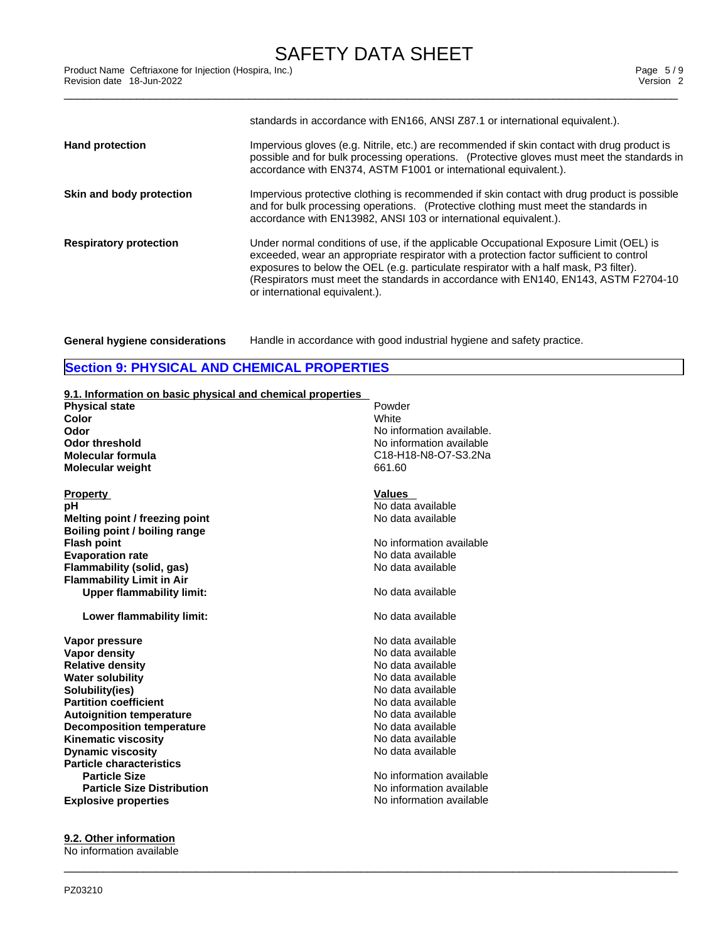|                               | standards in accordance with EN166, ANSI Z87.1 or international equivalent.).                                                                                                                                                                                                                                                                                                                       |
|-------------------------------|-----------------------------------------------------------------------------------------------------------------------------------------------------------------------------------------------------------------------------------------------------------------------------------------------------------------------------------------------------------------------------------------------------|
| <b>Hand protection</b>        | Impervious gloves (e.g. Nitrile, etc.) are recommended if skin contact with drug product is<br>possible and for bulk processing operations. (Protective gloves must meet the standards in<br>accordance with EN374, ASTM F1001 or international equivalent.).                                                                                                                                       |
| Skin and body protection      | Impervious protective clothing is recommended if skin contact with drug product is possible<br>and for bulk processing operations. (Protective clothing must meet the standards in<br>accordance with EN13982, ANSI 103 or international equivalent.).                                                                                                                                              |
| <b>Respiratory protection</b> | Under normal conditions of use, if the applicable Occupational Exposure Limit (OEL) is<br>exceeded, wear an appropriate respirator with a protection factor sufficient to control<br>exposures to below the OEL (e.g. particulate respirator with a half mask, P3 filter).<br>(Respirators must meet the standards in accordance with EN140, EN143, ASTM F2704-10<br>or international equivalent.). |
|                               |                                                                                                                                                                                                                                                                                                                                                                                                     |

**General hygiene considerations** Handle in accordance with good industrial hygiene and safety practice.

# **Section 9: PHYSICAL AND CHEMICAL PROPERTIES**

| 9.1. Information on basic physical and chemical properties<br><b>Physical state</b><br>Color<br>Odor<br><b>Odor threshold</b><br>Molecular formula<br><b>Molecular weight</b> | Powder<br>White<br>No information available.<br>No information available<br>C18-H18-N8-O7-S3.2Na<br>661.60 |
|-------------------------------------------------------------------------------------------------------------------------------------------------------------------------------|------------------------------------------------------------------------------------------------------------|
| <b>Property</b>                                                                                                                                                               | <b>Values</b>                                                                                              |
| pH                                                                                                                                                                            | No data available                                                                                          |
| Melting point / freezing point                                                                                                                                                | No data available                                                                                          |
| Boiling point / boiling range                                                                                                                                                 |                                                                                                            |
| <b>Flash point</b>                                                                                                                                                            | No information available                                                                                   |
| <b>Evaporation rate</b>                                                                                                                                                       | No data available                                                                                          |
| <b>Flammability (solid, gas)</b>                                                                                                                                              | No data available                                                                                          |
| <b>Flammability Limit in Air</b>                                                                                                                                              |                                                                                                            |
| <b>Upper flammability limit:</b>                                                                                                                                              | No data available                                                                                          |
| Lower flammability limit:                                                                                                                                                     | No data available                                                                                          |
| Vapor pressure                                                                                                                                                                | No data available                                                                                          |
| Vapor density                                                                                                                                                                 | No data available                                                                                          |
| <b>Relative density</b>                                                                                                                                                       | No data available                                                                                          |
| <b>Water solubility</b>                                                                                                                                                       | No data available                                                                                          |
| Solubility(ies)                                                                                                                                                               | No data available                                                                                          |
| <b>Partition coefficient</b>                                                                                                                                                  | No data available                                                                                          |
| <b>Autoignition temperature</b>                                                                                                                                               | No data available                                                                                          |
| <b>Decomposition temperature</b>                                                                                                                                              | No data available                                                                                          |
| <b>Kinematic viscosity</b>                                                                                                                                                    | No data available                                                                                          |
| <b>Dynamic viscosity</b>                                                                                                                                                      | No data available                                                                                          |
| <b>Particle characteristics</b>                                                                                                                                               |                                                                                                            |
| <b>Particle Size</b>                                                                                                                                                          | No information available                                                                                   |
| <b>Particle Size Distribution</b>                                                                                                                                             | No information available                                                                                   |
| <b>Explosive properties</b>                                                                                                                                                   | No information available                                                                                   |
|                                                                                                                                                                               |                                                                                                            |

 $\_$  ,  $\_$  ,  $\_$  ,  $\_$  ,  $\_$  ,  $\_$  ,  $\_$  ,  $\_$  ,  $\_$  ,  $\_$  ,  $\_$  ,  $\_$  ,  $\_$  ,  $\_$  ,  $\_$  ,  $\_$  ,  $\_$  ,  $\_$  ,  $\_$  ,  $\_$  ,  $\_$  ,  $\_$  ,  $\_$  ,  $\_$  ,  $\_$  ,  $\_$  ,  $\_$  ,  $\_$  ,  $\_$  ,  $\_$  ,  $\_$  ,  $\_$  ,  $\_$  ,  $\_$  ,  $\_$  ,  $\_$  ,  $\_$  ,

**9.2. Other information** No information available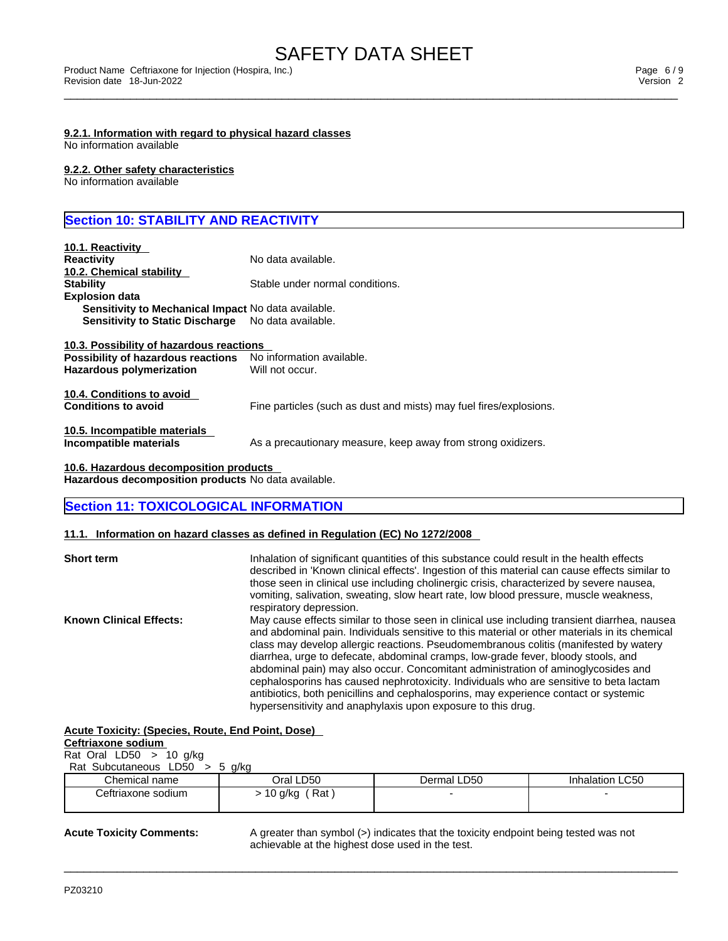### **9.2.1. Information with regard to physical hazard classes**

No information available

# **9.2.2. Other safety characteristics**

No information available

# **Section 10: STABILITY AND REACTIVITY**

| 10.1. Reactivity                                    |                                                                    |
|-----------------------------------------------------|--------------------------------------------------------------------|
| <b>Reactivity</b>                                   | No data available.                                                 |
| 10.2. Chemical stability                            |                                                                    |
| <b>Stability</b>                                    | Stable under normal conditions.                                    |
| <b>Explosion data</b>                               |                                                                    |
| Sensitivity to Mechanical Impact No data available. |                                                                    |
| <b>Sensitivity to Static Discharge</b>              | No data available.                                                 |
| 10.3. Possibility of hazardous reactions            |                                                                    |
| Possibility of hazardous reactions                  | No information available.                                          |
| <b>Hazardous polymerization</b>                     | Will not occur.                                                    |
| 10.4. Conditions to avoid                           |                                                                    |
| <b>Conditions to avoid</b>                          | Fine particles (such as dust and mists) may fuel fires/explosions. |
| 10.5. Incompatible materials                        |                                                                    |
| Incompatible materials                              | As a precautionary measure, keep away from strong oxidizers.       |
| 10.6. Hazardous decomposition products              |                                                                    |

**Hazardous decomposition products** No data available.

# **Section 11: TOXICOLOGICAL INFORMATION**

# **11.1. Information on hazard classes as defined in Regulation (EC) No 1272/2008**

| <b>Short term</b>              | Inhalation of significant quantities of this substance could result in the health effects<br>described in 'Known clinical effects'. Ingestion of this material can cause effects similar to<br>those seen in clinical use including cholinergic crisis, characterized by severe nausea,<br>vomiting, salivation, sweating, slow heart rate, low blood pressure, muscle weakness,<br>respiratory depression.                                                                                                                                                                                                                                                                                                       |  |
|--------------------------------|-------------------------------------------------------------------------------------------------------------------------------------------------------------------------------------------------------------------------------------------------------------------------------------------------------------------------------------------------------------------------------------------------------------------------------------------------------------------------------------------------------------------------------------------------------------------------------------------------------------------------------------------------------------------------------------------------------------------|--|
| <b>Known Clinical Effects:</b> | May cause effects similar to those seen in clinical use including transient diarrhea, nausea<br>and abdominal pain. Individuals sensitive to this material or other materials in its chemical<br>class may develop allergic reactions. Pseudomembranous colitis (manifested by watery<br>diarrhea, urge to defecate, abdominal cramps, low-grade fever, bloody stools, and<br>abdominal pain) may also occur. Concomitant administration of aminoglycosides and<br>cephalosporins has caused nephrotoxicity. Individuals who are sensitive to beta lactam<br>antibiotics, both penicillins and cephalosporins, may experience contact or systemic<br>hypersensitivity and anaphylaxis upon exposure to this drug. |  |

# **Acute Toxicity: (Species, Route, End Point, Dose)**

| Ceftriaxone sodium               |           |       |
|----------------------------------|-----------|-------|
| Rat Oral $LD50$ > 10 g/kg        |           |       |
| Rat Subcutaneous $LD50 > 5$ q/kg |           |       |
| Chemical name                    | Oral LD50 | Jerm: |

| Chemical name      | LD50<br>Dral           | LD50<br>Dermal | Inhalation LC50 |
|--------------------|------------------------|----------------|-----------------|
| eftriaxone sodiumـ | Rat<br>g/kg<br>ັບ<br>ີ |                |                 |
|                    |                        |                |                 |

 $\_$  ,  $\_$  ,  $\_$  ,  $\_$  ,  $\_$  ,  $\_$  ,  $\_$  ,  $\_$  ,  $\_$  ,  $\_$  ,  $\_$  ,  $\_$  ,  $\_$  ,  $\_$  ,  $\_$  ,  $\_$  ,  $\_$  ,  $\_$  ,  $\_$  ,  $\_$  ,  $\_$  ,  $\_$  ,  $\_$  ,  $\_$  ,  $\_$  ,  $\_$  ,  $\_$  ,  $\_$  ,  $\_$  ,  $\_$  ,  $\_$  ,  $\_$  ,  $\_$  ,  $\_$  ,  $\_$  ,  $\_$  ,  $\_$  ,

**Acute Toxicity Comments:** A greater than symbol (>) indicates that the toxicity endpoint being tested was not achievable at the highest dose used in the test.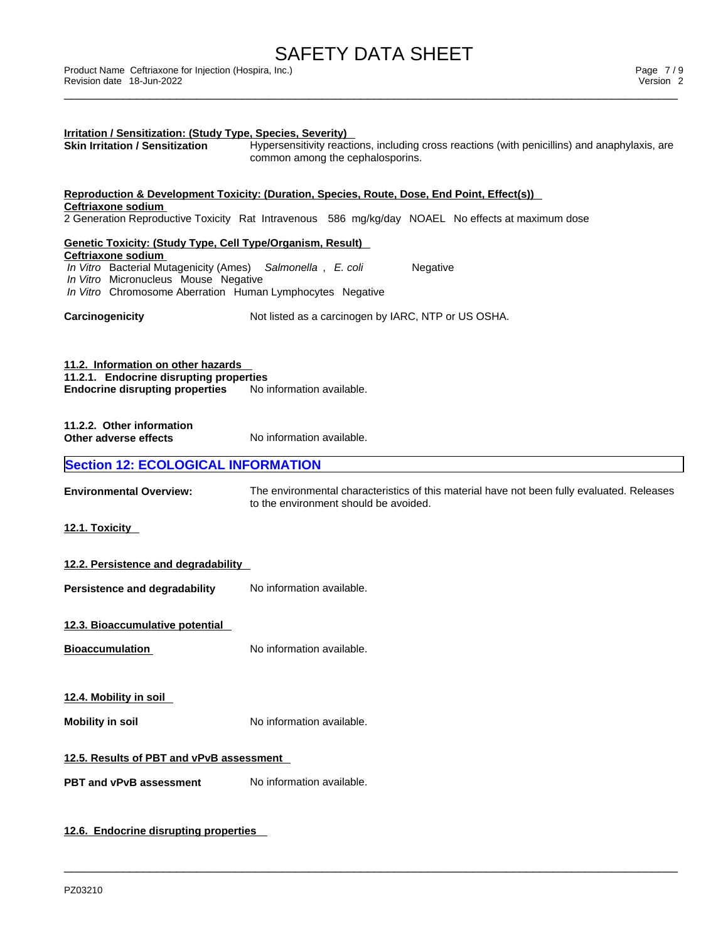| Irritation / Sensitization: (Study Type, Species, Severity)<br><b>Skin Irritation / Sensitization</b>                                                                                                                                                                     | Hypersensitivity reactions, including cross reactions (with penicillins) and anaphylaxis, are<br>common among the cephalosporins.   |  |  |  |
|---------------------------------------------------------------------------------------------------------------------------------------------------------------------------------------------------------------------------------------------------------------------------|-------------------------------------------------------------------------------------------------------------------------------------|--|--|--|
| Reproduction & Development Toxicity: (Duration, Species, Route, Dose, End Point, Effect(s))<br>Ceftriaxone sodium<br>2 Generation Reproductive Toxicity Rat Intravenous 586 mg/kg/day NOAEL No effects at maximum dose                                                    |                                                                                                                                     |  |  |  |
| <b>Genetic Toxicity: (Study Type, Cell Type/Organism, Result)</b><br>Ceftriaxone sodium<br>In Vitro Bacterial Mutagenicity (Ames)<br>Salmonella, E. coli<br>Negative<br>In Vitro Micronucleus Mouse Negative<br>In Vitro Chromosome Aberration Human Lymphocytes Negative |                                                                                                                                     |  |  |  |
| Carcinogenicity                                                                                                                                                                                                                                                           | Not listed as a carcinogen by IARC, NTP or US OSHA.                                                                                 |  |  |  |
| 11.2. Information on other hazards<br>11.2.1. Endocrine disrupting properties<br><b>Endocrine disrupting properties</b>                                                                                                                                                   | No information available.                                                                                                           |  |  |  |
| 11.2.2. Other information<br>Other adverse effects                                                                                                                                                                                                                        | No information available.                                                                                                           |  |  |  |
| <b>Section 12: ECOLOGICAL INFORMATION</b>                                                                                                                                                                                                                                 |                                                                                                                                     |  |  |  |
| <b>Environmental Overview:</b>                                                                                                                                                                                                                                            | The environmental characteristics of this material have not been fully evaluated. Releases<br>to the environment should be avoided. |  |  |  |
| 12.1. Toxicity                                                                                                                                                                                                                                                            |                                                                                                                                     |  |  |  |
| 12.2. Persistence and degradability                                                                                                                                                                                                                                       |                                                                                                                                     |  |  |  |
| Persistence and degradability                                                                                                                                                                                                                                             | No information available.                                                                                                           |  |  |  |
| 12.3. Bioaccumulative potential                                                                                                                                                                                                                                           |                                                                                                                                     |  |  |  |
| <b>Bioaccumulation</b>                                                                                                                                                                                                                                                    | No information available.                                                                                                           |  |  |  |
| 12.4. Mobility in soil                                                                                                                                                                                                                                                    |                                                                                                                                     |  |  |  |
| <b>Mobility in soil</b>                                                                                                                                                                                                                                                   | No information available.                                                                                                           |  |  |  |
| 12.5. Results of PBT and vPvB assessment                                                                                                                                                                                                                                  |                                                                                                                                     |  |  |  |
| <b>PBT and vPvB assessment</b>                                                                                                                                                                                                                                            | No information available.                                                                                                           |  |  |  |
|                                                                                                                                                                                                                                                                           |                                                                                                                                     |  |  |  |

 $\_$  ,  $\_$  ,  $\_$  ,  $\_$  ,  $\_$  ,  $\_$  ,  $\_$  ,  $\_$  ,  $\_$  ,  $\_$  ,  $\_$  ,  $\_$  ,  $\_$  ,  $\_$  ,  $\_$  ,  $\_$  ,  $\_$  ,  $\_$  ,  $\_$  ,  $\_$  ,  $\_$  ,  $\_$  ,  $\_$  ,  $\_$  ,  $\_$  ,  $\_$  ,  $\_$  ,  $\_$  ,  $\_$  ,  $\_$  ,  $\_$  ,  $\_$  ,  $\_$  ,  $\_$  ,  $\_$  ,  $\_$  ,  $\_$  ,

# **12.6. Endocrine disrupting properties**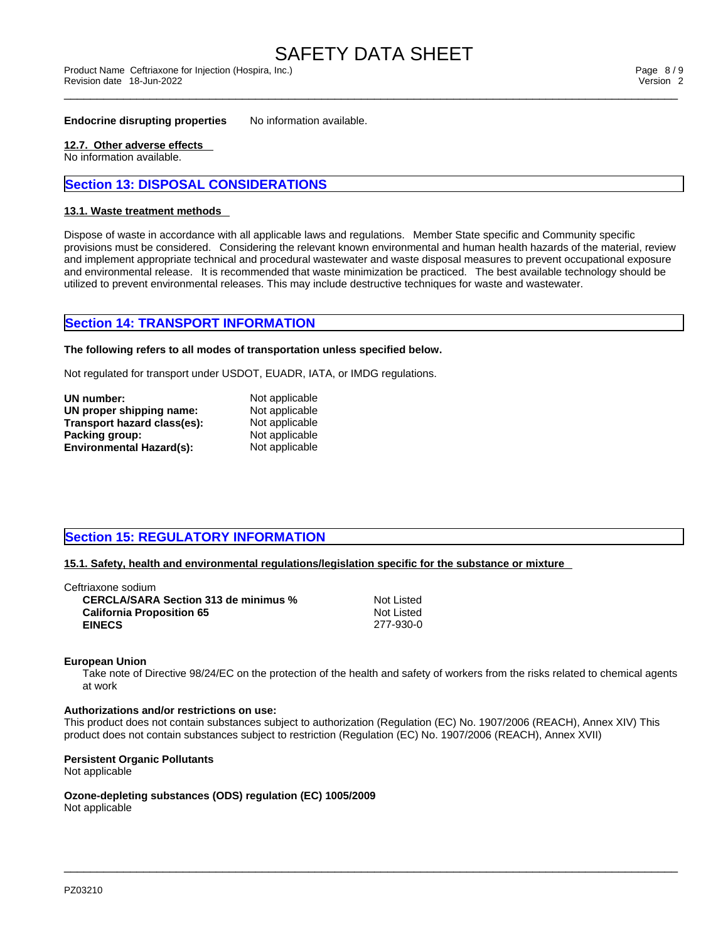# SAFETY DATA SHEET<br>Product Name Ceftriaxone for Injection (Hospira, Inc.)

#### **Endocrine disrupting properties** No information available.

### **12.7. Other adverse effects**

No information available.

# **Section 13: DISPOSAL CONSIDERATIONS**

#### **13.1. Waste treatment methods**

Dispose of waste in accordance with all applicable laws and regulations. Member State specific and Community specific provisions must be considered. Considering the relevant known environmental and human health hazards of the material, review and implement appropriate technical and procedural wastewater and waste disposal measures to prevent occupational exposure and environmental release. It is recommended that waste minimization be practiced. The best available technology should be utilized to prevent environmental releases. This may include destructive techniques for waste and wastewater.

# **Section 14: TRANSPORT INFORMATION**

### **The following refers to all modes of transportation unless specified below.**

Not regulated for transport under USDOT, EUADR, IATA, or IMDG regulations.

| UN number:                      | Not applicable |  |
|---------------------------------|----------------|--|
| UN proper shipping name:        | Not applicable |  |
| Transport hazard class(es):     | Not applicable |  |
| Packing group:                  | Not applicable |  |
| <b>Environmental Hazard(s):</b> | Not applicable |  |

# **Section 15: REGULATORY INFORMATION**

#### **15.1. Safety, health and environmental regulations/legislation specific for the substance or mixture**

| Ceftriaxone sodium_                         |            |
|---------------------------------------------|------------|
| <b>CERCLA/SARA Section 313 de minimus %</b> | Not Listed |
| <b>California Proposition 65</b>            | Not Listed |
| <b>EINECS</b>                               | 277-930-0  |

#### **European Union**

Take note of Directive 98/24/EC on the protection of the health and safety of workers from the risks related to chemical agents at work

#### **Authorizations and/or restrictions on use:**

This product does not contain substances subject to authorization (Regulation (EC) No. 1907/2006 (REACH), Annex XIV) This product does not contain substances subject to restriction (Regulation (EC) No. 1907/2006 (REACH), Annex XVII)

 $\_$  ,  $\_$  ,  $\_$  ,  $\_$  ,  $\_$  ,  $\_$  ,  $\_$  ,  $\_$  ,  $\_$  ,  $\_$  ,  $\_$  ,  $\_$  ,  $\_$  ,  $\_$  ,  $\_$  ,  $\_$  ,  $\_$  ,  $\_$  ,  $\_$  ,  $\_$  ,  $\_$  ,  $\_$  ,  $\_$  ,  $\_$  ,  $\_$  ,  $\_$  ,  $\_$  ,  $\_$  ,  $\_$  ,  $\_$  ,  $\_$  ,  $\_$  ,  $\_$  ,  $\_$  ,  $\_$  ,  $\_$  ,  $\_$  ,

### **Persistent Organic Pollutants**

Not applicable

**Ozone-depleting substances (ODS) regulation (EC) 1005/2009**

Not applicable